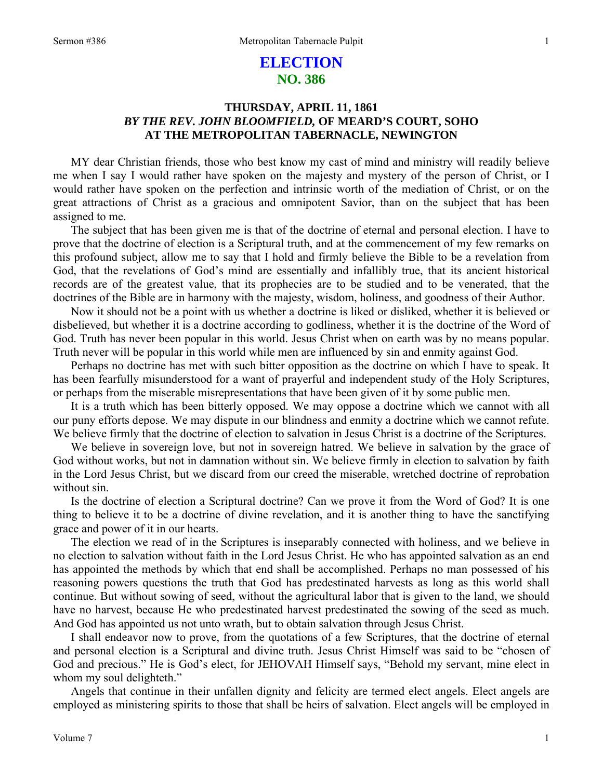# **ELECTION NO. 386**

## **THURSDAY, APRIL 11, 1861**  *BY THE REV. JOHN BLOOMFIELD,* **OF MEARD'S COURT, SOHO AT THE METROPOLITAN TABERNACLE, NEWINGTON**

MY dear Christian friends, those who best know my cast of mind and ministry will readily believe me when I say I would rather have spoken on the majesty and mystery of the person of Christ, or I would rather have spoken on the perfection and intrinsic worth of the mediation of Christ, or on the great attractions of Christ as a gracious and omnipotent Savior, than on the subject that has been assigned to me.

The subject that has been given me is that of the doctrine of eternal and personal election. I have to prove that the doctrine of election is a Scriptural truth, and at the commencement of my few remarks on this profound subject, allow me to say that I hold and firmly believe the Bible to be a revelation from God, that the revelations of God's mind are essentially and infallibly true, that its ancient historical records are of the greatest value, that its prophecies are to be studied and to be venerated, that the doctrines of the Bible are in harmony with the majesty, wisdom, holiness, and goodness of their Author.

Now it should not be a point with us whether a doctrine is liked or disliked, whether it is believed or disbelieved, but whether it is a doctrine according to godliness, whether it is the doctrine of the Word of God. Truth has never been popular in this world. Jesus Christ when on earth was by no means popular. Truth never will be popular in this world while men are influenced by sin and enmity against God.

Perhaps no doctrine has met with such bitter opposition as the doctrine on which I have to speak. It has been fearfully misunderstood for a want of prayerful and independent study of the Holy Scriptures, or perhaps from the miserable misrepresentations that have been given of it by some public men.

It is a truth which has been bitterly opposed. We may oppose a doctrine which we cannot with all our puny efforts depose. We may dispute in our blindness and enmity a doctrine which we cannot refute. We believe firmly that the doctrine of election to salvation in Jesus Christ is a doctrine of the Scriptures.

We believe in sovereign love, but not in sovereign hatred. We believe in salvation by the grace of God without works, but not in damnation without sin. We believe firmly in election to salvation by faith in the Lord Jesus Christ, but we discard from our creed the miserable, wretched doctrine of reprobation without sin.

Is the doctrine of election a Scriptural doctrine? Can we prove it from the Word of God? It is one thing to believe it to be a doctrine of divine revelation, and it is another thing to have the sanctifying grace and power of it in our hearts.

The election we read of in the Scriptures is inseparably connected with holiness, and we believe in no election to salvation without faith in the Lord Jesus Christ. He who has appointed salvation as an end has appointed the methods by which that end shall be accomplished. Perhaps no man possessed of his reasoning powers questions the truth that God has predestinated harvests as long as this world shall continue. But without sowing of seed, without the agricultural labor that is given to the land, we should have no harvest, because He who predestinated harvest predestinated the sowing of the seed as much. And God has appointed us not unto wrath, but to obtain salvation through Jesus Christ.

I shall endeavor now to prove, from the quotations of a few Scriptures, that the doctrine of eternal and personal election is a Scriptural and divine truth. Jesus Christ Himself was said to be "chosen of God and precious." He is God's elect, for JEHOVAH Himself says, "Behold my servant, mine elect in whom my soul delighteth."

Angels that continue in their unfallen dignity and felicity are termed elect angels. Elect angels are employed as ministering spirits to those that shall be heirs of salvation. Elect angels will be employed in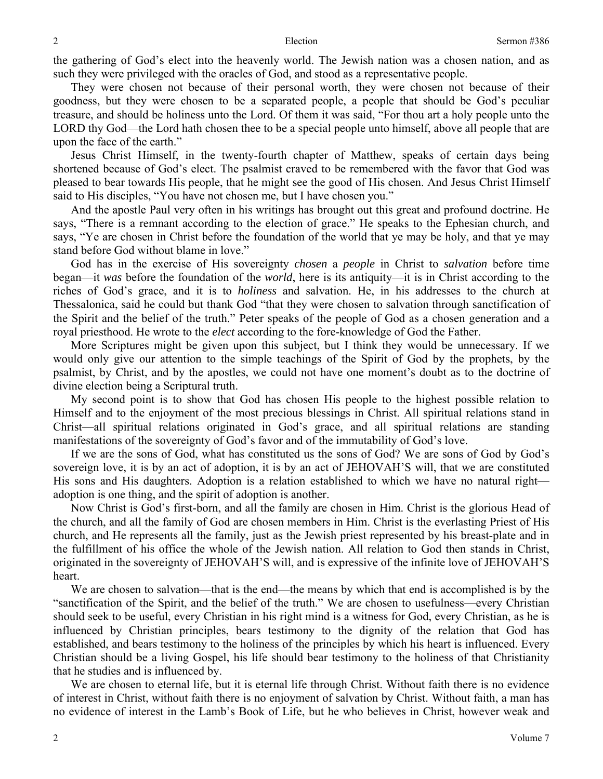the gathering of God's elect into the heavenly world. The Jewish nation was a chosen nation, and as such they were privileged with the oracles of God, and stood as a representative people.

They were chosen not because of their personal worth, they were chosen not because of their goodness, but they were chosen to be a separated people, a people that should be God's peculiar treasure, and should be holiness unto the Lord. Of them it was said, "For thou art a holy people unto the LORD thy God—the Lord hath chosen thee to be a special people unto himself, above all people that are upon the face of the earth."

Jesus Christ Himself, in the twenty-fourth chapter of Matthew, speaks of certain days being shortened because of God's elect. The psalmist craved to be remembered with the favor that God was pleased to bear towards His people, that he might see the good of His chosen. And Jesus Christ Himself said to His disciples, "You have not chosen me, but I have chosen you."

And the apostle Paul very often in his writings has brought out this great and profound doctrine. He says, "There is a remnant according to the election of grace." He speaks to the Ephesian church, and says, "Ye are chosen in Christ before the foundation of the world that ye may be holy, and that ye may stand before God without blame in love."

God has in the exercise of His sovereignty *chosen* a *people* in Christ to *salvation* before time began—it *was* before the foundation of the *world*, here is its antiquity—it is in Christ according to the riches of God's grace, and it is to *holiness* and salvation. He, in his addresses to the church at Thessalonica, said he could but thank God "that they were chosen to salvation through sanctification of the Spirit and the belief of the truth." Peter speaks of the people of God as a chosen generation and a royal priesthood. He wrote to the *elect* according to the fore-knowledge of God the Father.

More Scriptures might be given upon this subject, but I think they would be unnecessary. If we would only give our attention to the simple teachings of the Spirit of God by the prophets, by the psalmist, by Christ, and by the apostles, we could not have one moment's doubt as to the doctrine of divine election being a Scriptural truth.

My second point is to show that God has chosen His people to the highest possible relation to Himself and to the enjoyment of the most precious blessings in Christ. All spiritual relations stand in Christ—all spiritual relations originated in God's grace, and all spiritual relations are standing manifestations of the sovereignty of God's favor and of the immutability of God's love.

If we are the sons of God, what has constituted us the sons of God? We are sons of God by God's sovereign love, it is by an act of adoption, it is by an act of JEHOVAH'S will, that we are constituted His sons and His daughters. Adoption is a relation established to which we have no natural right adoption is one thing, and the spirit of adoption is another.

Now Christ is God's first-born, and all the family are chosen in Him. Christ is the glorious Head of the church, and all the family of God are chosen members in Him. Christ is the everlasting Priest of His church, and He represents all the family, just as the Jewish priest represented by his breast-plate and in the fulfillment of his office the whole of the Jewish nation. All relation to God then stands in Christ, originated in the sovereignty of JEHOVAH'S will, and is expressive of the infinite love of JEHOVAH'S heart.

We are chosen to salvation—that is the end—the means by which that end is accomplished is by the "sanctification of the Spirit, and the belief of the truth." We are chosen to usefulness—every Christian should seek to be useful, every Christian in his right mind is a witness for God, every Christian, as he is influenced by Christian principles, bears testimony to the dignity of the relation that God has established, and bears testimony to the holiness of the principles by which his heart is influenced. Every Christian should be a living Gospel, his life should bear testimony to the holiness of that Christianity that he studies and is influenced by.

We are chosen to eternal life, but it is eternal life through Christ. Without faith there is no evidence of interest in Christ, without faith there is no enjoyment of salvation by Christ. Without faith, a man has no evidence of interest in the Lamb's Book of Life, but he who believes in Christ, however weak and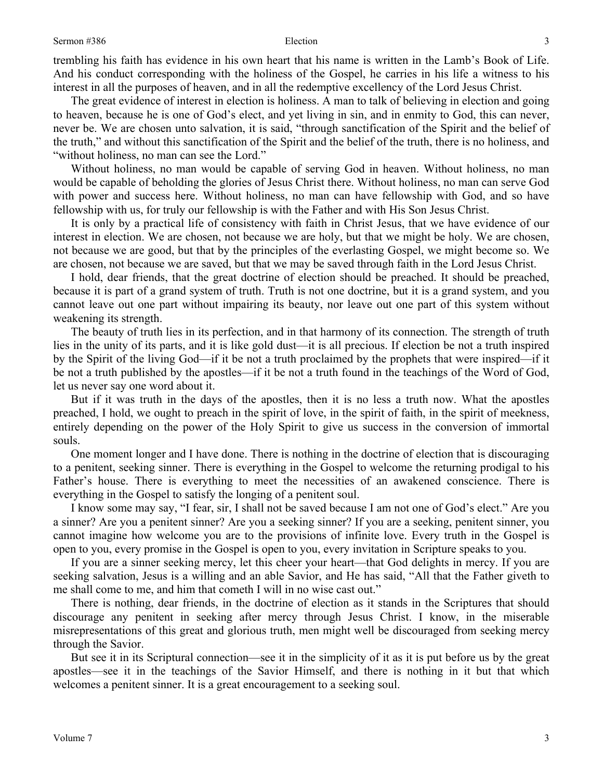### Sermon #386 Election

trembling his faith has evidence in his own heart that his name is written in the Lamb's Book of Life. And his conduct corresponding with the holiness of the Gospel, he carries in his life a witness to his interest in all the purposes of heaven, and in all the redemptive excellency of the Lord Jesus Christ.

The great evidence of interest in election is holiness. A man to talk of believing in election and going to heaven, because he is one of God's elect, and yet living in sin, and in enmity to God, this can never, never be. We are chosen unto salvation, it is said, "through sanctification of the Spirit and the belief of the truth," and without this sanctification of the Spirit and the belief of the truth, there is no holiness, and "without holiness, no man can see the Lord."

Without holiness, no man would be capable of serving God in heaven. Without holiness, no man would be capable of beholding the glories of Jesus Christ there. Without holiness, no man can serve God with power and success here. Without holiness, no man can have fellowship with God, and so have fellowship with us, for truly our fellowship is with the Father and with His Son Jesus Christ.

It is only by a practical life of consistency with faith in Christ Jesus, that we have evidence of our interest in election. We are chosen, not because we are holy, but that we might be holy. We are chosen, not because we are good, but that by the principles of the everlasting Gospel, we might become so. We are chosen, not because we are saved, but that we may be saved through faith in the Lord Jesus Christ.

I hold, dear friends, that the great doctrine of election should be preached. It should be preached, because it is part of a grand system of truth. Truth is not one doctrine, but it is a grand system, and you cannot leave out one part without impairing its beauty, nor leave out one part of this system without weakening its strength.

The beauty of truth lies in its perfection, and in that harmony of its connection. The strength of truth lies in the unity of its parts, and it is like gold dust—it is all precious. If election be not a truth inspired by the Spirit of the living God—if it be not a truth proclaimed by the prophets that were inspired—if it be not a truth published by the apostles—if it be not a truth found in the teachings of the Word of God, let us never say one word about it.

But if it was truth in the days of the apostles, then it is no less a truth now. What the apostles preached, I hold, we ought to preach in the spirit of love, in the spirit of faith, in the spirit of meekness, entirely depending on the power of the Holy Spirit to give us success in the conversion of immortal souls.

One moment longer and I have done. There is nothing in the doctrine of election that is discouraging to a penitent, seeking sinner. There is everything in the Gospel to welcome the returning prodigal to his Father's house. There is everything to meet the necessities of an awakened conscience. There is everything in the Gospel to satisfy the longing of a penitent soul.

I know some may say, "I fear, sir, I shall not be saved because I am not one of God's elect." Are you a sinner? Are you a penitent sinner? Are you a seeking sinner? If you are a seeking, penitent sinner, you cannot imagine how welcome you are to the provisions of infinite love. Every truth in the Gospel is open to you, every promise in the Gospel is open to you, every invitation in Scripture speaks to you.

If you are a sinner seeking mercy, let this cheer your heart—that God delights in mercy. If you are seeking salvation, Jesus is a willing and an able Savior, and He has said, "All that the Father giveth to me shall come to me, and him that cometh I will in no wise cast out."

There is nothing, dear friends, in the doctrine of election as it stands in the Scriptures that should discourage any penitent in seeking after mercy through Jesus Christ. I know, in the miserable misrepresentations of this great and glorious truth, men might well be discouraged from seeking mercy through the Savior.

But see it in its Scriptural connection—see it in the simplicity of it as it is put before us by the great apostles—see it in the teachings of the Savior Himself, and there is nothing in it but that which welcomes a penitent sinner. It is a great encouragement to a seeking soul.